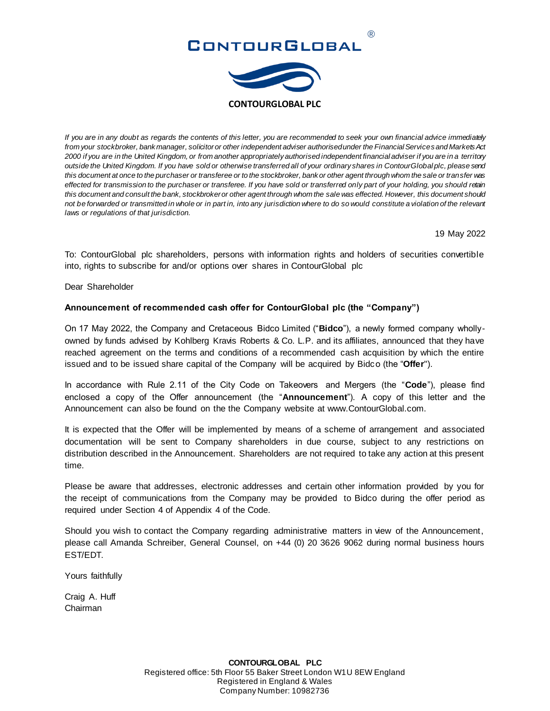



*If you are in any doubt as regards the contents of this letter, you are recommended to seek your own financial advice immediately from your stockbroker, bank manager, solicitor or other independent adviser authorised under the Financial Services and Markets Act 2000 if you are in the United Kingdom, or from another appropriately authorised independent financial adviser if you are in a territory outside the United Kingdom. If you have sold or otherwise transferred all of your ordinary shares in ContourGlobal plc, please send this document at once to the purchaser or transferee or to the stockbroker, bank or other agent through whom the sale or transfer was effected for transmission to the purchaser or transferee. If you have sold or transferred only part of your holding, you should retain this document and consult the bank, stockbroker or other agent through whom the sale was effected. However, this document should not be forwarded or transmitted in whole or in part in, into any jurisdiction where to do so would constitute a violation of the relevant laws or regulations of that jurisdiction.*

19 May 2022

To: ContourGlobal plc shareholders, persons with information rights and holders of securities convertible into, rights to subscribe for and/or options over shares in ContourGlobal plc

Dear Shareholder

## **Announcement of recommended cash offer for ContourGlobal plc (the "Company")**

On 17 May 2022, the Company and Cretaceous Bidco Limited ("**Bidco**"), a newly formed company whollyowned by funds advised by Kohlberg Kravis Roberts & Co. L.P. and its affiliates, announced that they have reached agreement on the terms and conditions of a recommended cash acquisition by which the entire issued and to be issued share capital of the Company will be acquired by Bidco (the "**Offer**").

In accordance with Rule 2.11 of the City Code on Takeovers and Mergers (the "**Code**"), please find enclosed a copy of the Offer announcement (the "**Announcement**"). A copy of this letter and the Announcement can also be found on the the Company website at www.ContourGlobal.com.

It is expected that the Offer will be implemented by means of a scheme of arrangement and associated documentation will be sent to Company shareholders in due course, subject to any restrictions on distribution described in the Announcement. Shareholders are not required to take any action at this present time.

Please be aware that addresses, electronic addresses and certain other information provided by you for the receipt of communications from the Company may be provided to Bidco during the offer period as required under Section 4 of Appendix 4 of the Code.

Should you wish to contact the Company regarding administrative matters in view of the Announcement, please call Amanda Schreiber, General Counsel, on +44 (0) 20 3626 9062 during normal business hours EST/EDT.

Yours faithfully

Craig A. Huff Chairman